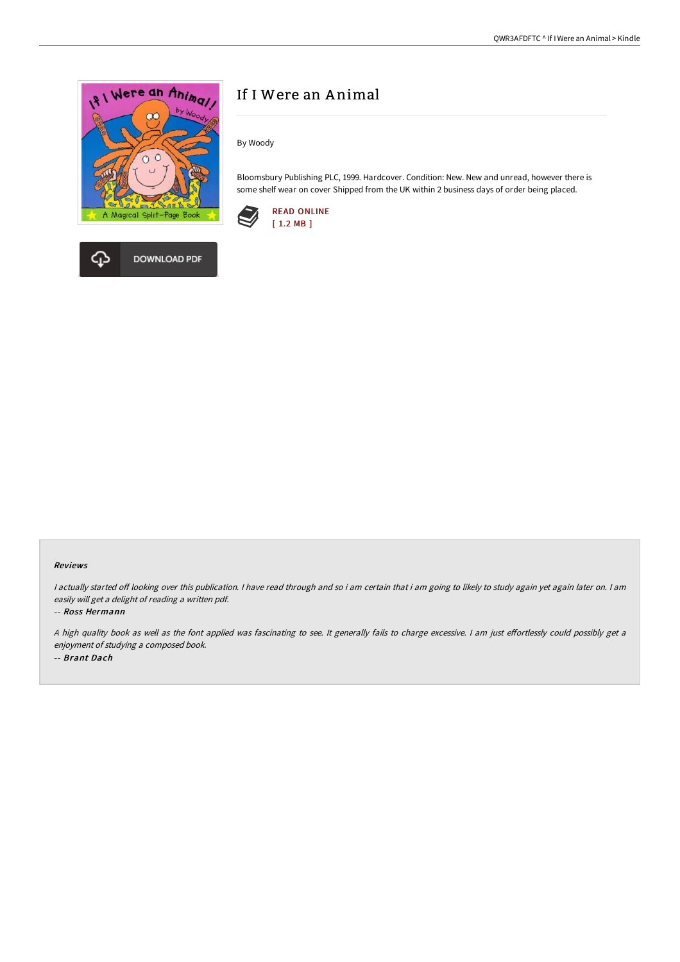



# If I Were an Animal

By Woody

Bloomsbury Publishing PLC, 1999. Hardcover. Condition: New. New and unread, however there is some shelf wear on cover Shipped from the UK within 2 business days of order being placed.



#### Reviews

I actually started off looking over this publication. I have read through and so i am certain that i am going to likely to study again yet again later on. I am easily will get <sup>a</sup> delight of reading <sup>a</sup> written pdf.

-- Ross Hermann

A high quality book as well as the font applied was fascinating to see. It generally fails to charge excessive. I am just effortlessly could possibly get a enjoyment of studying <sup>a</sup> composed book. -- Brant Dach